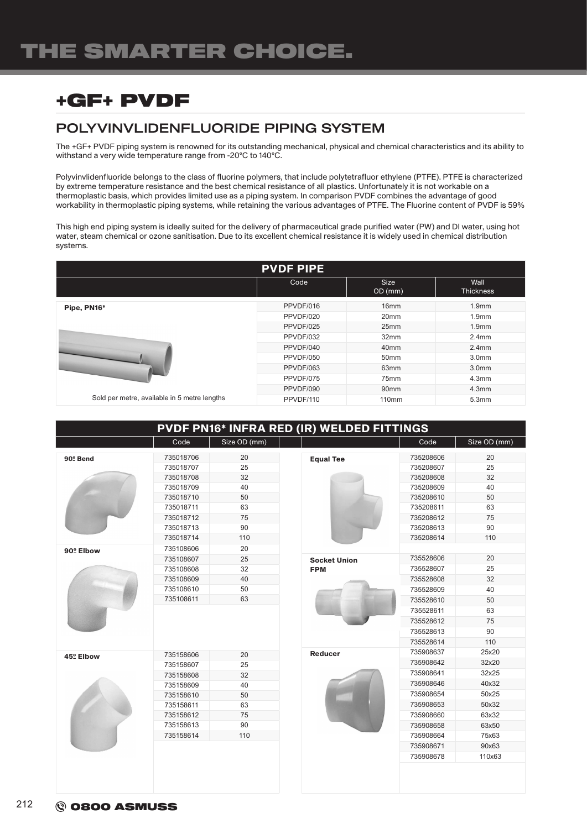# +GF+ PVDF

### POLYVINVLIDENFLUORIDE PIPING SYSTEM

The +GF+ PVDF piping system is renowned for its outstanding mechanical, physical and chemical characteristics and its ability to withstand a very wide temperature range from -20°C to 140°C.

Polyvinvlidenfluoride belongs to the class of fluorine polymers, that include polytetrafluor ethylene (PTFE). PTFE is characterized by extreme temperature resistance and the best chemical resistance of all plastics. Unfortunately it is not workable on a thermoplastic basis, which provides limited use as a piping system. In comparison PVDF combines the advantage of good workability in thermoplastic piping systems, while retaining the various advantages of PTFE. The Fluorine content of PVDF is 59%

This high end piping system is ideally suited for the delivery of pharmaceutical grade purified water (PW) and DI water, using hot water, steam chemical or ozone sanitisation. Due to its excellent chemical resistance it is widely used in chemical distribution systems.

| <b>PVDF PIPE</b>                             |           |                        |                          |  |  |  |  |
|----------------------------------------------|-----------|------------------------|--------------------------|--|--|--|--|
|                                              | Code      | <b>Size</b><br>OD (mm) | Wall<br><b>Thickness</b> |  |  |  |  |
| Pipe, PN16*                                  | PPVDF/016 | 16 <sub>mm</sub>       | 1.9 <sub>mm</sub>        |  |  |  |  |
|                                              | PPVDF/020 | 20 <sub>mm</sub>       | 1.9 <sub>mm</sub>        |  |  |  |  |
|                                              | PPVDF/025 | 25mm                   | 1.9 <sub>mm</sub>        |  |  |  |  |
|                                              | PPVDF/032 | 32 <sub>mm</sub>       | 2.4 <sub>mm</sub>        |  |  |  |  |
|                                              | PPVDF/040 | 40 <sub>mm</sub>       | 2.4 <sub>mm</sub>        |  |  |  |  |
|                                              | PPVDF/050 | 50 <sub>mm</sub>       | 3.0 <sub>mm</sub>        |  |  |  |  |
|                                              | PPVDF/063 | 63 <sub>mm</sub>       | 3.0 <sub>mm</sub>        |  |  |  |  |
|                                              | PPVDF/075 | 75mm                   | 4.3 <sub>mm</sub>        |  |  |  |  |
|                                              | PPVDF/090 | 90 <sub>mm</sub>       | 4.3 <sub>mm</sub>        |  |  |  |  |
| Sold per metre, available in 5 metre lengths | PPVDF/110 | 110mm                  | 5.3mm                    |  |  |  |  |

#### PVDF PN16\* INFRA RED (IR) WELDED FITTINGS

|           | Code      | Size OD (mm) |                     | Code      | Size OD (mm) |
|-----------|-----------|--------------|---------------------|-----------|--------------|
| 90º Bend  | 735018706 | 20           | <b>Equal Tee</b>    | 735208606 | 20           |
|           | 735018707 | 25           |                     | 735208607 | 25           |
|           | 735018708 | 32           |                     | 735208608 | 32           |
|           | 735018709 | 40           |                     | 735208609 | 40           |
|           | 735018710 | 50           |                     | 735208610 | 50           |
|           | 735018711 | 63           |                     | 735208611 | 63           |
|           | 735018712 | 75           |                     | 735208612 | 75           |
|           | 735018713 | 90           |                     | 735208613 | 90           |
|           | 735018714 | 110          |                     | 735208614 | 110          |
| 90º Elbow | 735108606 | 20           |                     |           |              |
|           | 735108607 | 25           | <b>Socket Union</b> | 735528606 | 20           |
|           | 735108608 | 32           | <b>FPM</b>          | 735528607 | 25           |
|           | 735108609 | 40           |                     | 735528608 | 32           |
|           | 735108610 | 50           |                     | 735528609 | 40           |
|           | 735108611 | 63           |                     | 735528610 | 50           |
|           |           |              |                     | 735528611 | 63           |
|           |           |              |                     | 735528612 | 75           |
|           |           |              |                     | 735528613 | 90           |
|           |           |              |                     | 735528614 | 110          |
| 45º Elbow | 735158606 | 20           | Reducer             | 735908637 | 25x20        |
|           | 735158607 | 25           |                     | 735908642 | 32x20        |
|           | 735158608 | 32           |                     | 735908641 | 32x25        |
|           | 735158609 | 40           |                     | 735908646 | 40x32        |
|           | 735158610 | 50           |                     | 735908654 | 50x25        |
|           | 735158611 | 63           |                     | 735908653 | 50x32        |
|           | 735158612 | 75           |                     | 735908660 | 63x32        |
|           | 735158613 | 90           |                     | 735908658 | 63x50        |
|           | 735158614 | 110          |                     | 735908664 | 75x63        |
|           |           |              |                     | 735908671 | 90x63        |
|           |           |              |                     | 735908678 | 110x63       |
|           |           |              |                     |           |              |
|           |           |              |                     |           |              |
|           |           |              |                     |           |              |